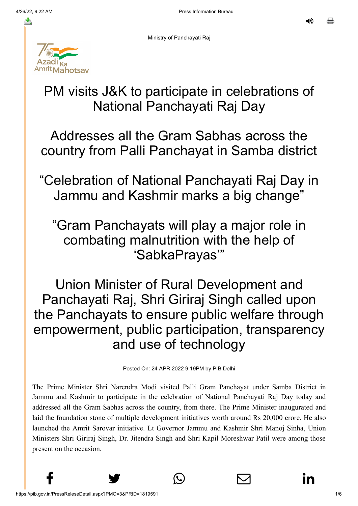נו⊿

Ministry of Panchayati Raj



# PM visits J&K to participate in celebrations of National Panchayati Raj Day

Addresses all the Gram Sabhas across the country from Palli Panchayat in Samba district

"Celebration of National Panchayati Raj Day in Jammu and Kashmir marks a big change"

# "Gram Panchayats will play a major role in combating malnutrition with the help of 'SabkaPrayas'"

Union Minister of Rural Development and Panchayati Raj, Shri Giriraj Singh called upon the Panchayats to ensure public welfare through empowerment, public participation, transparency and use of technology

Posted On: 24 APR 2022 9:19PM by PIB Delhi

The Prime Minister Shri Narendra Modi visited Palli Gram Panchayat under Samba District in Jammu and Kashmir to participate in the celebration of National Panchayati Raj Day today and addressed all the Gram Sabhas across the country, from there. The Prime Minister inaugurated and laid the foundation stone of multiple development initiatives worth around Rs 20,000 crore. He also launched the Amrit Sarovar initiative. Lt Governor Jammu and Kashmir Shri Manoj Sinha, Union Ministers Shri Giriraj Singh, Dr. Jitendra Singh and Shri Kapil Moreshwar Patil were among those present on the occasion.

 $f$  y  $\circledcirc$   $\quad \circledcirc$  in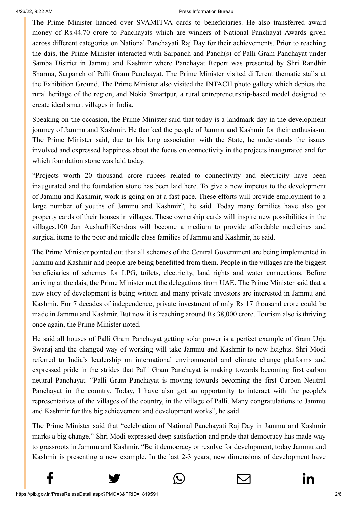[The Prime](http://www.facebook.com/share.php?u=https://pib.gov.in/PressReleasePage.aspx?PRID=1819656) Minister [handed over SV](https://twitter.com/intent/tweet?url=https://pib.gov.in/PressReleasePage.aspx?PRID=1819656&text=PM%20visits%20J&K%20to%20participate%20in%20celebrations%20of%20National%20Panchayati%20Raj%20Day)[AMITVA cards to be](https://api.whatsapp.com/send?text=https://pib.gov.in/PressReleasePage.aspx?PRID=1819656)[neficiaries. He also t](https://mail.google.com/mail/?view=cm&fs=1&tf=1&to=&su=PM%20visits%20J&K%20to%20participate%20in%20celebrations%20of%20National%20Panchayati%20Raj%20Day&body=https://pib.gov.in/PressReleasePage.aspx?PRID=1819656&ui=2&tf=1&pli=1)[ransferred award](https://www.linkedin.com/shareArticle?mini=true&url=https://pib.gov.in/PressReleasePage.aspx?PRID=1819656&title=PM%20visits%20J&K%20to%20participate%20in%20celebrations%20of%20National%20Panchayati%20Raj%20Day&summary=My%20favorite%20developer%20program&source=LinkedIn) money of Rs.44.70 crore to Panchayats which are winners of National Panchayat Awards given across different categories on National Panchayati Raj Day for their achievements. Prior to reaching the dais, the Prime Minister interacted with Sarpanch and Panch(s) of Palli Gram Panchayat under Samba District in Jammu and Kashmir where Panchayat Report was presented by Shri Randhir Sharma, Sarpanch of Palli Gram Panchayat. The Prime Minister visited different thematic stalls at the Exhibition Ground. The Prime Minister also visited the INTACH photo gallery which depicts the rural heritage of the region, and Nokia Smartpur, a rural entrepreneurship-based model designed to create ideal smart villages in India.

Speaking on the occasion, the Prime Minister said that today is a landmark day in the development journey of Jammu and Kashmir. He thanked the people of Jammu and Kashmir for their enthusiasm. The Prime Minister said, due to his long association with the State, he understands the issues involved and expressed happiness about the focus on connectivity in the projects inaugurated and for which foundation stone was laid today.

"Projects worth 20 thousand crore rupees related to connectivity and electricity have been inaugurated and the foundation stone has been laid here. To give a new impetus to the development of Jammu and Kashmir, work is going on at a fast pace. These efforts will provide employment to a large number of youths of Jammu and Kashmir", he said. Today many families have also got property cards of their houses in villages. These ownership cards will inspire new possibilities in the villages.100 Jan AushadhiKendras will become a medium to provide affordable medicines and surgical items to the poor and middle class families of Jammu and Kashmir, he said.

The Prime Minister pointed out that all schemes of the Central Government are being implemented in Jammu and Kashmir and people are being benefitted from them. People in the villages are the biggest beneficiaries of schemes for LPG, toilets, electricity, land rights and water connections. Before arriving at the dais, the Prime Minister met the delegations from UAE. The Prime Minister said that a new story of development is being written and many private investors are interested in Jammu and Kashmir. For 7 decades of independence, private investment of only Rs 17 thousand crore could be made in Jammu and Kashmir. But now it is reaching around Rs 38,000 crore. Tourism also is thriving once again, the Prime Minister noted.

He said all houses of Palli Gram Panchayat getting solar power is a perfect example of Gram Urja Swaraj and the changed way of working will take Jammu and Kashmir to new heights. Shri Modi referred to India's leadership on international environmental and climate change platforms and expressed pride in the strides that Palli Gram Panchayat is making towards becoming first carbon neutral Panchayat. "Palli Gram Panchayat is moving towards becoming the first Carbon Neutral Panchayat in the country. Today, I have also got an opportunity to interact with the people's representatives of the villages of the country, in the village of Palli. Many congratulations to Jammu and Kashmir for this big achievement and development works", he said.

The Prime Minister said that "celebration of National Panchayati Raj Day in Jammu and Kashmir marks a big change." Shri Modi expressed deep satisfaction and pride that democracy has made way to grassroots in Jammu and Kashmir. "Be it democracy or resolve for development, today Jammu and Kashmir is presenting a new example. In the last 2-3 years, new dimensions of development have

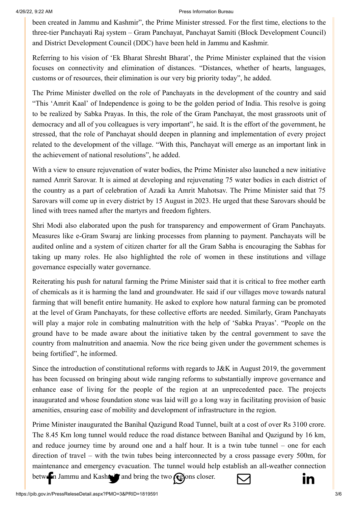[been created in J](http://www.facebook.com/share.php?u=https://pib.gov.in/PressReleasePage.aspx?PRID=1819656)[ammu and Kashmir", t](https://twitter.com/intent/tweet?url=https://pib.gov.in/PressReleasePage.aspx?PRID=1819656&text=PM%20visits%20J&K%20to%20participate%20in%20celebrations%20of%20National%20Panchayati%20Raj%20Day)[he Prime Minister stre](https://api.whatsapp.com/send?text=https://pib.gov.in/PressReleasePage.aspx?PRID=1819656)[ssed. For the first time](https://mail.google.com/mail/?view=cm&fs=1&tf=1&to=&su=PM%20visits%20J&K%20to%20participate%20in%20celebrations%20of%20National%20Panchayati%20Raj%20Day&body=https://pib.gov.in/PressReleasePage.aspx?PRID=1819656&ui=2&tf=1&pli=1)[, elections to the](https://www.linkedin.com/shareArticle?mini=true&url=https://pib.gov.in/PressReleasePage.aspx?PRID=1819656&title=PM%20visits%20J&K%20to%20participate%20in%20celebrations%20of%20National%20Panchayati%20Raj%20Day&summary=My%20favorite%20developer%20program&source=LinkedIn) three-tier Panchayati Raj system – Gram Panchayat, Panchayat Samiti (Block Development Council) and District Development Council (DDC) have been held in Jammu and Kashmir.

Referring to his vision of 'Ek Bharat Shresht Bharat', the Prime Minister explained that the vision focuses on connectivity and elimination of distances. "Distances, whether of hearts, languages, customs or of resources, their elimination is our very big priority today", he added.

The Prime Minister dwelled on the role of Panchayats in the development of the country and said "This 'Amrit Kaal' of Independence is going to be the golden period of India. This resolve is going to be realized by Sabka Prayas. In this, the role of the Gram Panchayat, the most grassroots unit of democracy and all of you colleagues is very important", he said. It is the effort of the government, he stressed, that the role of Panchayat should deepen in planning and implementation of every project related to the development of the village. "With this, Panchayat will emerge as an important link in the achievement of national resolutions", he added.

With a view to ensure rejuvenation of water bodies, the Prime Minister also launched a new initiative named Amrit Sarovar. It is aimed at developing and rejuvenating 75 water bodies in each district of the country as a part of celebration of Azadi ka Amrit Mahotsav. The Prime Minister said that 75 Sarovars will come up in every district by 15 August in 2023. He urged that these Sarovars should be lined with trees named after the martyrs and freedom fighters.

Shri Modi also elaborated upon the push for transparency and empowerment of Gram Panchayats. Measures like e-Gram Swaraj are linking processes from planning to payment. Panchayats will be audited online and a system of citizen charter for all the Gram Sabha is encouraging the Sabhas for taking up many roles. He also highlighted the role of women in these institutions and village governance especially water governance.

Reiterating his push for natural farming the Prime Minister said that it is critical to free mother earth of chemicals as it is harming the land and groundwater. He said if our villages move towards natural farming that will benefit entire humanity. He asked to explore how natural farming can be promoted at the level of Gram Panchayats, for these collective efforts are needed. Similarly, Gram Panchayats will play a major role in combating malnutrition with the help of 'Sabka Prayas'. "People on the ground have to be made aware about the initiative taken by the central government to save the country from malnutrition and anaemia. Now the rice being given under the government schemes is being fortified", he informed.

Since the introduction of constitutional reforms with regards to J&K in August 2019, the government has been focussed on bringing about wide ranging reforms to substantially improve governance and enhance ease of living for the people of the region at an unprecedented pace. The projects inaugurated and whose foundation stone was laid will go a long way in facilitating provision of basic amenities, ensuring ease of mobility and development of infrastructure in the region.

Prime Minister inaugurated the Banihal Qazigund Road Tunnel, built at a cost of over Rs 3100 crore. The 8.45 Km long tunnel would reduce the road distance between Banihal and Qazigund by 16 km, and reduce journey time by around one and a half hour. It is a twin tube tunnel – one for each direction of travel – with the twin tubes being interconnected by a cross passage every 500m, for maintenance and emergency evacuation. The tunnel would h[elp establish an all-we](https://mail.google.com/mail/?view=cm&fs=1&tf=1&to=&su=PM%20visits%20J&K%20to%20participate%20in%20celebrations%20of%20National%20Panchayati%20Raj%20Day&body=https://pib.gov.in/PressReleasePage.aspx?PRID=1819656&ui=2&tf=1&pli=1)[ather connection](https://www.linkedin.com/shareArticle?mini=true&url=https://pib.gov.in/PressReleasePage.aspx?PRID=1819656&title=PM%20visits%20J&K%20to%20participate%20in%20celebrations%20of%20National%20Panchayati%20Raj%20Day&summary=My%20favorite%20developer%20program&source=LinkedIn)

[between Jammu](http://www.facebook.com/share.php?u=https://pib.gov.in/PressReleasePage.aspx?PRID=1819656) and Kashmir and brin[g the two regions closer](https://api.whatsapp.com/send?text=https://pib.gov.in/PressReleasePage.aspx?PRID=1819656).  $\nabla$ 

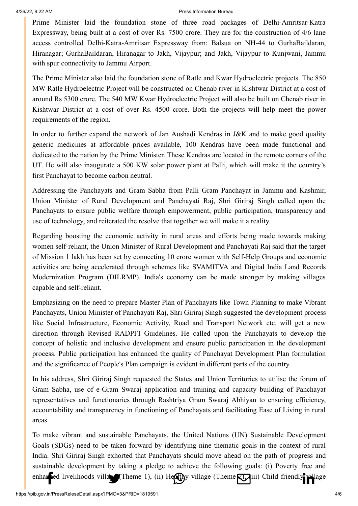[Prime Minister](http://www.facebook.com/share.php?u=https://pib.gov.in/PressReleasePage.aspx?PRID=1819656) [laid the foundation](https://twitter.com/intent/tweet?url=https://pib.gov.in/PressReleasePage.aspx?PRID=1819656&text=PM%20visits%20J&K%20to%20participate%20in%20celebrations%20of%20National%20Panchayati%20Raj%20Day) [stone of three roa](https://api.whatsapp.com/send?text=https://pib.gov.in/PressReleasePage.aspx?PRID=1819656)[d packages of Delh](https://mail.google.com/mail/?view=cm&fs=1&tf=1&to=&su=PM%20visits%20J&K%20to%20participate%20in%20celebrations%20of%20National%20Panchayati%20Raj%20Day&body=https://pib.gov.in/PressReleasePage.aspx?PRID=1819656&ui=2&tf=1&pli=1)[i-Amritsar-Katra](https://www.linkedin.com/shareArticle?mini=true&url=https://pib.gov.in/PressReleasePage.aspx?PRID=1819656&title=PM%20visits%20J&K%20to%20participate%20in%20celebrations%20of%20National%20Panchayati%20Raj%20Day&summary=My%20favorite%20developer%20program&source=LinkedIn) Expressway, being built at a cost of over Rs. 7500 crore. They are for the construction of 4/6 lane access controlled Delhi-Katra-Amritsar Expressway from: Balsua on NH-44 to GurhaBaildaran, Hiranagar; GurhaBaildaran, Hiranagar to Jakh, Vijaypur; and Jakh, Vijaypur to Kunjwani, Jammu with spur connectivity to Jammu Airport.

The Prime Minister also laid the foundation stone of Ratle and Kwar Hydroelectric projects. The 850 MW Ratle Hydroelectric Project will be constructed on Chenab river in Kishtwar District at a cost of around Rs 5300 crore. The 540 MW Kwar Hydroelectric Project will also be built on Chenab river in Kishtwar District at a cost of over Rs. 4500 crore. Both the projects will help meet the power requirements of the region.

In order to further expand the network of Jan Aushadi Kendras in J&K and to make good quality generic medicines at affordable prices available, 100 Kendras have been made functional and dedicated to the nation by the Prime Minister. These Kendras are located in the remote corners of the UT. He will also inaugurate a 500 KW solar power plant at Palli, which will make it the country's first Panchayat to become carbon neutral.

Addressing the Panchayats and Gram Sabha from Palli Gram Panchayat in Jammu and Kashmir, Union Minister of Rural Development and Panchayati Raj, Shri Giriraj Singh called upon the Panchayats to ensure public welfare through empowerment, public participation, transparency and use of technology, and reiterated the resolve that together we will make it a reality.

Regarding boosting the economic activity in rural areas and efforts being made towards making women self-reliant, the Union Minister of Rural Development and Panchayati Raj said that the target of Mission 1 lakh has been set by connecting 10 crore women with Self-Help Groups and economic activities are being accelerated through schemes like SVAMITVA and Digital India Land Records Modernization Program (DILRMP). India's economy can be made stronger by making villages capable and self-reliant.

Emphasizing on the need to prepare Master Plan of Panchayats like Town Planning to make Vibrant Panchayats, Union Minister of Panchayati Raj, Shri Giriraj Singh suggested the development process like Social Infrastructure, Economic Activity, Road and Transport Network etc. will get a new direction through Revised RADPFI Guidelines. He called upon the Panchayats to develop the concept of holistic and inclusive development and ensure public participation in the development process. Public participation has enhanced the quality of Panchayat Development Plan formulation and the significance of People's Plan campaign is evident in different parts of the country.

In his address, Shri Giriraj Singh requested the States and Union Territories to utilise the forum of Gram Sabha, use of e-Gram Swaraj application and training and capacity building of Panchayat representatives and functionaries through Rashtriya Gram Swaraj Abhiyan to ensuring efficiency, accountability and transparency in functioning of Panchayats and facilitating Ease of Living in rural areas.

To make vibrant and sustainable Panchayats, the United Nations (UN) Sustainable Development Goals (SDGs) need to be taken forward by identifying nine thematic goals in the context of rural India. Shri Giriraj Singh exhorted that Panchayats should move ahead on the path of progress and sustainable development by taking a pledge to achieve the following goals: (i) Poverty free and [enhanced livelih](http://www.facebook.com/share.php?u=https://pib.gov.in/PressReleasePage.aspx?PRID=1819656)[oods village \(Theme 1](https://twitter.com/intent/tweet?url=https://pib.gov.in/PressReleasePage.aspx?PRID=1819656&text=PM%20visits%20J&K%20to%20participate%20in%20celebrations%20of%20National%20Panchayati%20Raj%20Day)[\), \(ii\) Healthy village](https://api.whatsapp.com/send?text=https://pib.gov.in/PressReleasePage.aspx?PRID=1819656) (Theme  $\sum$ , iii) Child [friendly village](https://www.linkedin.com/shareArticle?mini=true&url=https://pib.gov.in/PressReleasePage.aspx?PRID=1819656&title=PM%20visits%20J&K%20to%20participate%20in%20celebrations%20of%20National%20Panchayati%20Raj%20Day&summary=My%20favorite%20developer%20program&source=LinkedIn)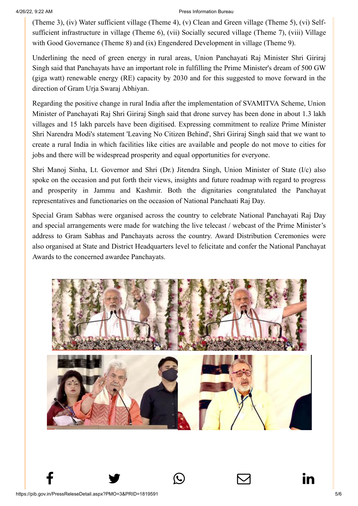[\(Theme 3\), \(iv\)](http://www.facebook.com/share.php?u=https://pib.gov.in/PressReleasePage.aspx?PRID=1819656) [Water sufficient village](https://twitter.com/intent/tweet?url=https://pib.gov.in/PressReleasePage.aspx?PRID=1819656&text=PM%20visits%20J&K%20to%20participate%20in%20celebrations%20of%20National%20Panchayati%20Raj%20Day) [\(Theme 4\), \(v\) Clean](https://api.whatsapp.com/send?text=https://pib.gov.in/PressReleasePage.aspx?PRID=1819656) [and Green village \(Th](https://mail.google.com/mail/?view=cm&fs=1&tf=1&to=&su=PM%20visits%20J&K%20to%20participate%20in%20celebrations%20of%20National%20Panchayati%20Raj%20Day&body=https://pib.gov.in/PressReleasePage.aspx?PRID=1819656&ui=2&tf=1&pli=1)[eme 5\), \(vi\) Self](https://www.linkedin.com/shareArticle?mini=true&url=https://pib.gov.in/PressReleasePage.aspx?PRID=1819656&title=PM%20visits%20J&K%20to%20participate%20in%20celebrations%20of%20National%20Panchayati%20Raj%20Day&summary=My%20favorite%20developer%20program&source=LinkedIn)sufficient infrastructure in village (Theme 6), (vii) Socially secured village (Theme 7), (viii) Village with Good Governance (Theme 8) and (ix) Engendered Development in village (Theme 9).

Underlining the need of green energy in rural areas, Union Panchayati Raj Minister Shri Giriraj Singh said that Panchayats have an important role in fulfilling the Prime Minister's dream of 500 GW (giga watt) renewable energy (RE) capacity by 2030 and for this suggested to move forward in the direction of Gram Urja Swaraj Abhiyan.

Regarding the positive change in rural India after the implementation of SVAMITVA Scheme, Union Minister of Panchayati Raj Shri Giriraj Singh said that drone survey has been done in about 1.3 lakh villages and 15 lakh parcels have been digitised. Expressing commitment to realize Prime Minister Shri Narendra Modi's statement 'Leaving No Citizen Behind', Shri Giriraj Singh said that we want to create a rural India in which facilities like cities are available and people do not move to cities for jobs and there will be widespread prosperity and equal opportunities for everyone.

Shri Manoj Sinha, Lt. Governor and Shri (Dr.) Jitendra Singh, Union Minister of State (I/c) also spoke on the occasion and put forth their views, insights and future roadmap with regard to progress and prosperity in Jammu and Kashmir. Both the dignitaries congratulated the Panchayat representatives and functionaries on the occasion of National Panchaati Raj Day.

Special Gram Sabhas were organised across the country to celebrate National Panchayati Raj Day and special arrangements were made for watching the live telecast / webcast of the Prime Minister's address to Gram Sabhas and Panchayats across the country. Award Distribution Ceremonies were also organised at State and District Headquarters level to felicitate and confer the National Panchayat Awards to the concerned awardee Panchayats.



 $f$  y  $\circledcirc$   $\quad \circledcirc$  in